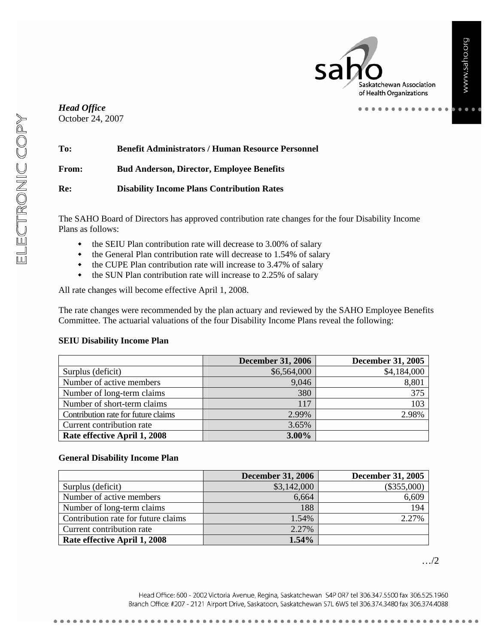$\bullet$   $\bullet$   $\bullet$ 

Saskatchewan Association of Health Organizations

. . . . . . . .

#### *Head Office* October 24, 2007

| To:   | <b>Benefit Administrators / Human Resource Personnel</b> |
|-------|----------------------------------------------------------|
| From: | <b>Bud Anderson, Director, Employee Benefits</b>         |
| Re:   | <b>Disability Income Plans Contribution Rates</b>        |

The SAHO Board of Directors has approved contribution rate changes for the four Disability Income Plans as follows:

- the SEIU Plan contribution rate will decrease to 3.00% of salary
- the General Plan contribution rate will decrease to 1.54% of salary
- the CUPE Plan contribution rate will increase to 3.47% of salary
- the SUN Plan contribution rate will increase to 2.25% of salary

All rate changes will become effective April 1, 2008.

The rate changes were recommended by the plan actuary and reviewed by the SAHO Employee Benefits Committee. The actuarial valuations of the four Disability Income Plans reveal the following:

#### **SEIU Disability Income Plan**

|                                     | <b>December 31, 2006</b> | <b>December 31, 2005</b> |
|-------------------------------------|--------------------------|--------------------------|
| Surplus (deficit)                   | \$6,564,000              | \$4,184,000              |
| Number of active members            | 9,046                    | 8,801                    |
| Number of long-term claims          | 380                      | 375                      |
| Number of short-term claims         | 117                      | 103                      |
| Contribution rate for future claims | 2.99%                    | 2.98%                    |
| Current contribution rate           | 3.65%                    |                          |
| Rate effective April 1, 2008        | 3.00%                    |                          |

#### **General Disability Income Plan**

|                                     | <b>December 31, 2006</b> | <b>December 31, 2005</b> |
|-------------------------------------|--------------------------|--------------------------|
| Surplus (deficit)                   | \$3,142,000              | $(\$355,000)$            |
| Number of active members            | 6,664                    | 6,609                    |
| Number of long-term claims          | 188                      | 194                      |
| Contribution rate for future claims | 1.54%                    | 2.27%                    |
| Current contribution rate           | 2.27%                    |                          |
| Rate effective April 1, 2008        | 1.54%                    |                          |

…/2

Head Office: 600 - 2002 Victoria Avenue, Regina, Saskatchewan S4P 0R7 tel 306.347.5500 fax 306.525.1960 Branch Office: #207 - 2121 Airport Drive, Saskatoon, Saskatchewan S7L 6W5 tel 306.374.3480 fax 306.374.4088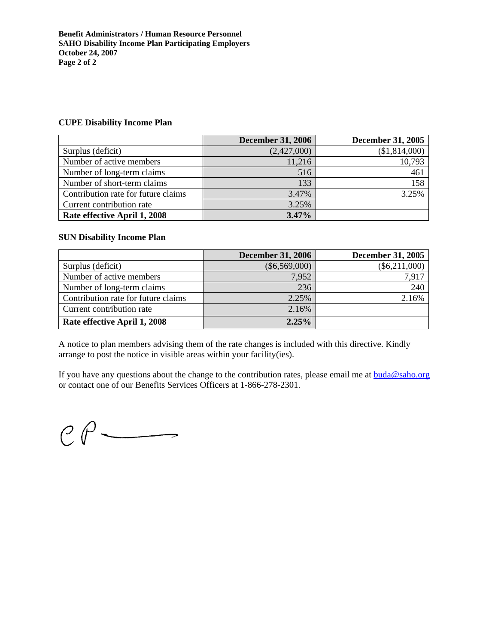#### **CUPE Disability Income Plan**

|                                     | <b>December 31, 2006</b> | <b>December 31, 2005</b> |
|-------------------------------------|--------------------------|--------------------------|
| Surplus (deficit)                   | (2,427,000)              | (\$1,814,000)            |
| Number of active members            | 11,216                   | 10,793                   |
| Number of long-term claims          | 516                      | 461                      |
| Number of short-term claims         | 133                      | 158                      |
| Contribution rate for future claims | 3.47%                    | 3.25%                    |
| Current contribution rate           | 3.25%                    |                          |
| Rate effective April 1, 2008        | 3.47%                    |                          |

#### **SUN Disability Income Plan**

|                                     | <b>December 31, 2006</b> | <b>December 31, 2005</b> |
|-------------------------------------|--------------------------|--------------------------|
| Surplus (deficit)                   | $(\$6,569,000)$          | $(\$6,211,000)$          |
| Number of active members            | 7,952                    | 7,917                    |
| Number of long-term claims          | 236                      | 240                      |
| Contribution rate for future claims | 2.25%                    | 2.16%                    |
| Current contribution rate           | 2.16%                    |                          |
| Rate effective April 1, 2008        | 2.25%                    |                          |

A notice to plan members advising them of the rate changes is included with this directive. Kindly arrange to post the notice in visible areas within your facility(ies).

If you have any questions about the change to the contribution rates, please email me at  $buda@saho.org$ </u> or contact one of our Benefits Services Officers at 1-866-278-2301.

 $C \rho$